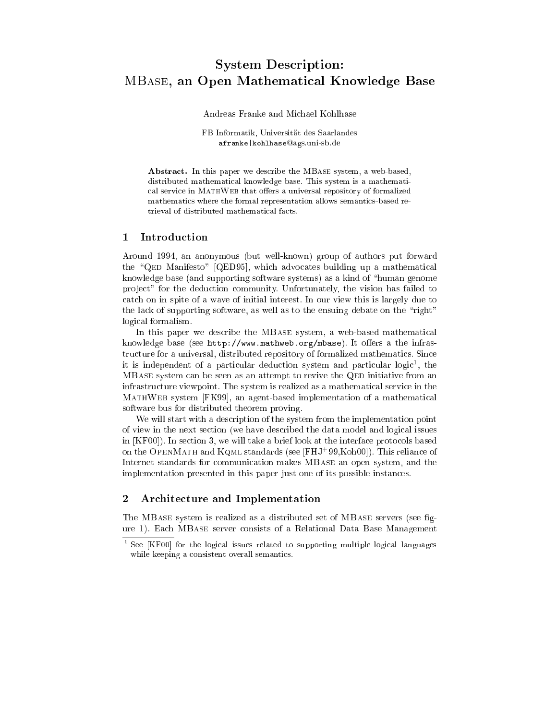# System Description: MBase, an Open Mathematical Knowledge Base

Andreas Franke and Michael Kohlhase

FB Informatik, Universitat des Saarlandes afranke|kohlhase@ags.uni-sb.de

Abstract. In this paper we describe the MBase system, a web-based, distributed mathematical knowledge base. This system is a mathematical service in MATHWEB that offers a universal repository of formalized mathematics where the formal representation allows semantics-based retrieval of distributed mathematical facts.

### 1 Introduction

Around 1994, an anonymous (but well-known) group of authors put forward the "QED Manifesto" [QED95], which advocates building up a mathematical knowledge base (and supporting software systems) as a kind of "human genome" project" for the deduction community. Unfortunately, the vision has failed to catch on in spite of a wave of initial interest. In our view this is largely due to the lack of supporting software, as well as to the ensuing debate on the "right" logical formalism.

In this paper we describe the MBase system, a web-based mathematical knowledge base (see http://www.mathweb.org/mbase). It offers a the infrastructure for a universal, distributed repository of formalized mathematics. Since it is independent of a particular deduction system and particular  $logic^{1}$ , the MBase system can be seen as an attempt to revive the Qed initiative from an infrastructure viewpoint. The system is realized as a mathematical service in the  $M$ athweb system  $M$  and agent-based implementation of a mathematical input  $M$ software bus for distributed theorem proving.

We will start with a description of the system from the implementation point of view in the next section (we have described the data model and logical issues in [KF00]). In section 3, we will take a brief look at the interface protocols based on the OPENMATH and  $\rm K$ QML standards (see [FHJ<sup>+</sup>99,Koh00]). This reliance of Internet standards for communication makes MBase an open system, and the implementation presented in this paper just one of its possible instances.

### 2 Architecture and Implementation

The MBase system is realized as a distributed set of MBASE servers (see figure 1). Each MBase server consists of a Relational Data Base Management

<sup>1</sup> See [KF00] for the logical issues related to supporting multiple logical languages while keeping a consistent overall semantics.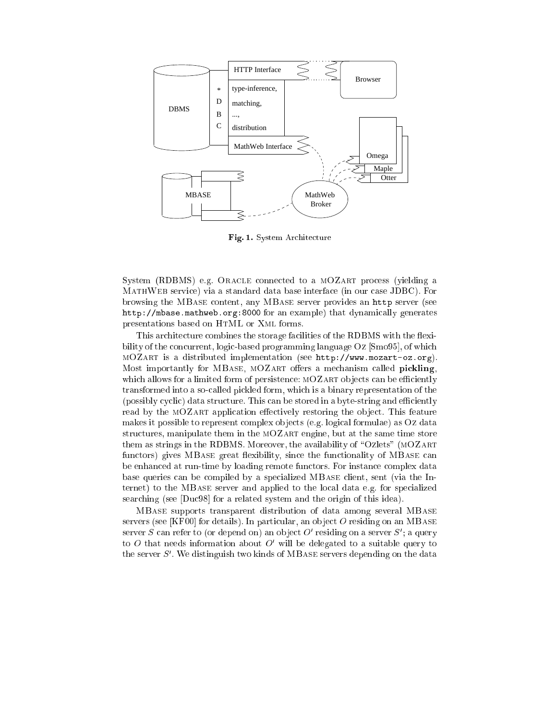

Fig. 1. System Architecture

System (RDBMS) e.g. ORACLE connected to a MOZART process (yielding a  $\mathcal{M}$  service) via a standard data base interface interface (in our case  $\mathcal{M}$ ). For case  $\mathcal{M}$ browsing the MBase content, any MBase server provides an http server (see http://mbase.mathweb.org:8000 for an example) that dynamically generates presentations based on HTML or XML forms.

This architecture combines the storage facilities of the RDBMS with the flexibility of the concurrent, logic-based programming language Oz [Smo95], of which mozart is a distribution implementation (see http://www.mozart-oz.org/). Most importantly for MBASE, MOZART offers a mechanism called pickling, which allows for a limited form of persistence:  $MOZART$  objects can be efficiently transformed into a so-called pickled form, which is a binary representation of the (possibly cyclic) data structure. This can be stored in a byte-string and efficiently read by the MOZART application effectively restoring the object. This feature makes it possible to represent complex ob jects (e.g. logical formulae) as Oz data  $structures, manipulate them in the MOZART engine, but at the same time store$ them as strings in the RDBMS. Moreover, the availability of "Ozlets" ( $\text{MOZART}$ functors) gives MBASE great flexibility, since the functionality of MBASE can be enhanced at run-time by loading remote functors. For instance complex data base queries can be compiled by a specialized MBase client, sent (via the Internet) to the MBase server and applied to the local data e.g. for specialized searching (see [Duc98] for a related system and the origin of this idea).

MBase supports transparent distribution of data among several MBase servers (see [KF00] for details). In particular, an object  $O$  residing on an MBASE server  $S$  can refer to (or depend on) an object  $O$  -residing on a server  $S$  ; a query to <sup>O</sup> that needs information about <sup>O</sup><sup>0</sup> will be delegated to a suitable query to the server  $S$  . We distinguish two kinds of MBASE servers depending on the data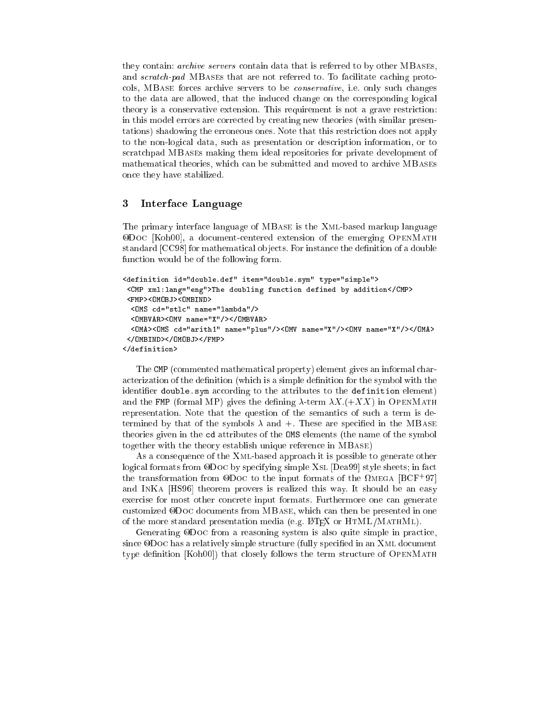they contain: *archive servers* contain data that is referred to by other MBASES, and *scratch-pad* MBASEs that are not referred to. To facilitate caching protocols, MBase forces archive servers to be conservative, i.e. only such changes to the data are allowed, that the induced change on the corresponding logical theory is a conservative extension. This requirement is not a grave restriction: in this model errors are corrected by creating new theories (with similar presentations) shadowing the erroneous ones. Note that this restriction does not apply to the non-logical data, such as presentation or description information, or to scratchpad MBases making them ideal repositories for private development of mathematical theories, which can be submitted and moved to archive MBases once they have stabilized.

#### 3 Interface Language

The primary interface language of MBase is the Xml-based markup language ODOO [KOHOO], a document-centered extension of the emerging OpenMath standard [CC98] for mathematical objects. For instance the definition of a double function would be of the following form.

```
<definition id="double.def" item="double.sym" type="simple">
<CMP xml:lang="eng">The doubling function defined by addition</CMP>
<FMP><OMOBJ><OMBIND>
 <OMS cd="stlc" name="lambda"/>
 <OMBVAR><OMV name="X"/></OMBVAR>
 <OMA><OMS cd="arith1" name="plus"/><OMV name="X"/><OMV name="X"/></OMA>
</OMBIND></OMOBJ></FMP>
</definition>
```
The CMP (commented mathematical property) element gives an informal characterization of the definition (which is a simple definition for the symbol with the identier double.sym according to the attributes to the definition element) and the FMP (formal MP) gives the defining  $\lambda$ -term  $\lambda X.(+XX)$  in OpenMath representation. Note that the question of the semantics of such a term is determined by that of the symbols  $\lambda$  and  $+$ . These are specified in the MBASE theories given in the cd attributes of the OMS elements (the name of the symbol together with the theory establish unique reference in MBase)

As a consequence of the Xml-based approach it is possible to generate other logical formats from ODOC by specifying simple XsL [Dea99] style sheets; in fact the transformation from ODoc to the input formats of the  $\Omega_{\text{MEGA}}$  [BCF+97] and InKa [HS96] theorem provers is realized this way. It should be an easy exercise for most other concrete input formats. Furthermore one can generate customized OMDoc documents from MBase, which can then be presented in one of the more standard presentation media (e.g.  $\angle$ ETFX or HTML/MATHML).

Generating ODoc from a reasoning system is also quite simple in practice,  $sine \Theta$ Doc has a relatively simple structure (fully specified in an XML document type definition [Koh00]) that closely follows the term structure of OPENMATH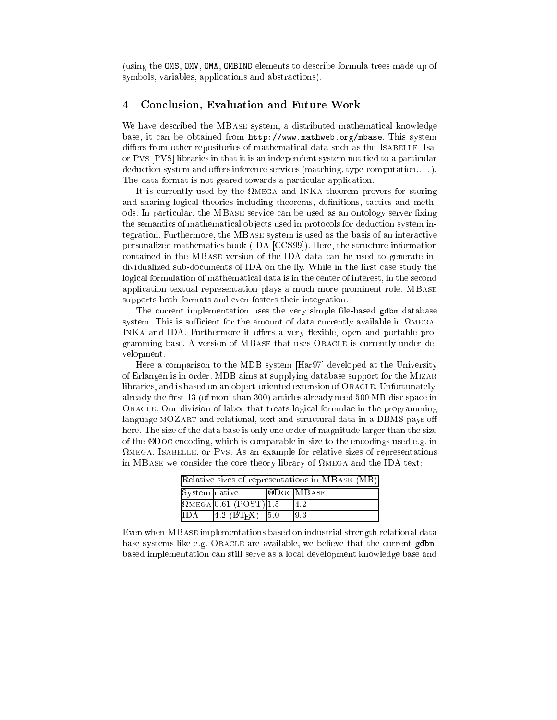(using the OMS, OMV, OMA, OMBIND elements to describe formula trees made up of symbols, variables, applications and abstractions).

### 4 Conclusion, Evaluation and Future Work

We have described the MBASE system, a distributed mathematical knowledge base, it can be obtained from http://www.mathweb.org/mbase. This system differs from other repositories of mathematical data such as the ISABELLE [Isa] or Pvs [PVS] libraries in that it is an independent system not tied to a particular deduction system and offers inference services (matching, type-computation,...). The data format is not geared towards a particular application.

. It is considered by the storing for storing for storing proverse for storing and sharing logical theories including theorems, definitions, tactics and methods. In particular, the MBASE service can be used as an ontology server fixing the semantics of mathematical objects used in protocols for deduction system integration. Furthermore, the MBase system is used as the basis of an interactive personalized mathematics book (IDA [CCS99]). Here, the structure information contained in the MBase version of the IDA data can be used to generate individualized sub-documents of IDA on the fly. While in the first case study the logical formulation of mathematical data is in the center of interest, in the second application textual representation plays a much more prominent role. MBase supports both formats and even fosters their integration.

The current implementation uses the very simple file-based gdbm database system. This is such a model of the amount of data currently available in the second current InKa and IDA. Furthermore it oers a very exible, open and portable programming base. A version of MBase that uses Oracle is currently under development.

Here a comparison to the MDB system [Har97] developed at the University of Erlangen is in order. MDB aims at supplying database support for the Mizar libraries, and is based on an object-oriented extension of ORACLE. Unfortunately, already the first 13 (of more than 300) articles already need 500 MB disc space in Oracle. Our division of labor that treats logical formulae in the programming language MOZART and relational, text and structural data in a DBMS pays off here. The size of the data base is only one order of magnitude larger than the size of the  $\mathfrak{O}$  DOC encoding, which is comparable in size to the encodings used e.g. in mega, Isabelle, or Pvs. As an example for relative sizes of representations in MBase we consider the core theory library of  $\mathcal{M}$ 

| Relative sizes of representations in MBASE (MB) |                               |  |                                                     |
|-------------------------------------------------|-------------------------------|--|-----------------------------------------------------|
| System native                                   |                               |  | $\overline{\text{OD}\text{oc} \text{MB}\text{ASE}}$ |
|                                                 | $\Omega$ MEGA 0.61 (POST) 1.5 |  | I4 2                                                |
| <b>IDA</b>                                      | $ 4.2 \text{ (IATFX)}  5.0$   |  | 9.3                                                 |

Even when MBase implementations based on industrial strength relational data base systems like e.g. ORACLE are available, we believe that the current gdbmbased implementation can still serve as a local development knowledge base and